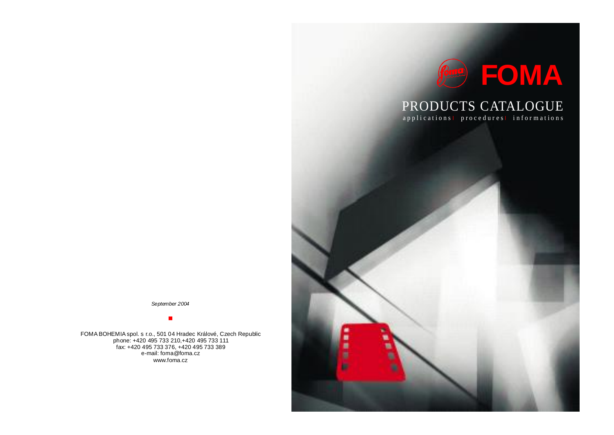

# PRODUCTS CATALOGUE

applications<sup>1</sup> procedures<sup>1</sup> informations

*September 2004*

# $\blacksquare$

FOMA BOHEMIA spol. s r.o., 501 04 Hradec Králové, Czech Republic phone: +420 495 733 210,+420 495 733 111 fax: +420 495 733 376, +420 495 733 389 e-mail: foma@foma.cz www.foma.cz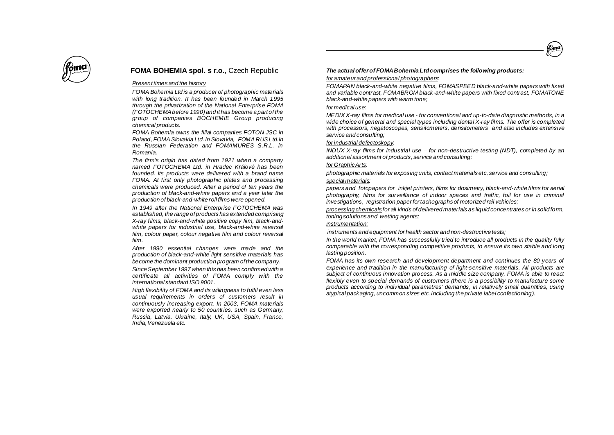



# **FOMA BOHEMIA spol. s r.o.**, Czech Republic

# *Present times and the history*

*FOMA Bohemia Ltd is a producer of photographic materials with long tradition. It has been founded in March 1995 through the privatization of the National Enterprise FOMA (FOTOCHEMAbefore 1990) and it has become a part of the group of companies BOCHEMIE Group producing chemical products.*

*FOMA Bohemia owns the filial companies FOTON JSC in Poland, FOMASlovakia Ltd. in Slovakia, FOMA RUSLtd.in the Russian Federation and FOMAMURES S.R.L. in Romania.*

*The firm's origin has dated from 1921 when a company named FOTOCHEMA Ltd. in Hradec Králové has been founded. Its products were delivered with a brand name FOMA. At first only photographic plates and processing chemicals were produced. After a period of ten years the production of black-and-white papers and a year later the production of black-and-white roll films were opened.*

*In 1949 after the National Enterprise FOTOCHEMA was established, the range of products has extended comprising X-ray films, black-and-white positive copy film, black-andwhite papers for industrial use, black-and-white reversal film, colour paper, colour negative film and colour reversal film.*

*After 1990 essential changes were made and the production of black-and-white light sensitive materials has become the dominant production program of the company.*

*SinceSeptember 1997 when this has been confirmed with a certificate all activities of FOMA comply with the international standard ISO 9001.*

*High flexibility of FOMA and its wilingness to fulfil even less usual requirements in orders of customers result in continuously increasing export. In 2003, FOMA materials were exported nearly to 50 countries, such as Germany, Russia, Latvia, Ukraine, Italy, UK, USA, Spain, France, India,Venezuela etc.*

# *The actualofferof FOMABohemia Ltdcomprises the following products:*

#### *for amateur and professional photographers :*

*FOMAPAN black-and-white negative films, FOMASPEED black-and-white papers with fixed and variable contrast, FOMABROM black-and-white papers with fixed contrast, FOMATONE black-and-white papers with warm tone;*

# *for medical use :*

*MEDIX X-ray films for medical use - for conventional and up-to-date diagnostic methods, in a wide choice of general and special types including dental X-ray films. The offer is completed with processors, negatoscopes, sensitometers, densitometers and also includes extensive service and consulting;*

#### *forindustrial defectoskopy :*

*INDUX X-ray films for industrial use – for non-destructive testing (NDT), completed by an additional assortment of products, service and consulting;*

# *forGraphicArts :*

*special materials : photographic materials for exposing units, contact materialsetc, service and consulting;*

*papers and fotopapers for inkjet printers, films for dosimetry, black-and-white films for aerial photography, films for surveillance of indoor spaces and traffic, foil for use in criminal investigations, registration paperfortachographsof motorized rail vehicles;*

*processing chemicals for all kinds of delivered materials as liquid concentrates or in solid form, toningsolutionsand wetting agents;*

# *i nstrumentation:*

*instruments and equipment for health sector and non-destructive tests;*

*In the world market, FOMA has successfully tried to introduce all products in the quality fully comparable with the corresponding competitive products, to ensure its own stable and long lasting position.*

*FOMA has its own research and development department and continues the 80 years of experience and tradition in the manufacturing of light-sensitive materials. All products are subject of continuous innovation process. As a middle size company, FOMA is able to react flexibly even to special demands of customers (there is a possibility to manufacture some products according to individual parametres' demands, in relatively small quantities, using atypical packaging, uncommon sizes etc. including the private label confectioning).*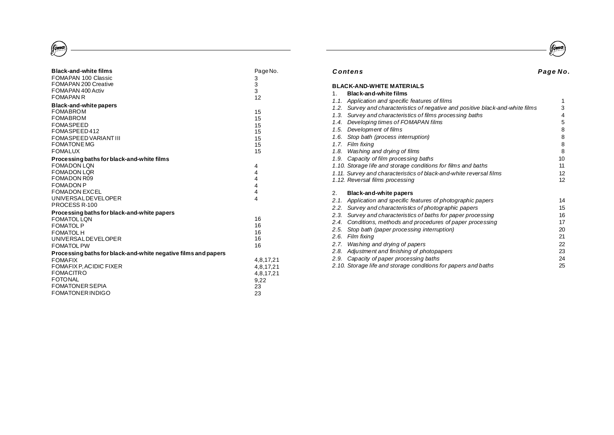# $\begin{pmatrix} 1 & 1 \\ 0 & 1 \end{pmatrix}$

| <b>Black-and-white films</b><br>FOMAPAN 100 Classic<br>FOMAPAN 200 Creative<br>FOMAPAN 400 Activ<br><b>FOMAPAN R</b>                                                                                   | Page No.<br>3<br>3<br>3<br>12                                                       |
|--------------------------------------------------------------------------------------------------------------------------------------------------------------------------------------------------------|-------------------------------------------------------------------------------------|
| <b>Black-and-white papers</b><br><b>FOMABROM</b><br><b>FOMABROM</b><br><b>FOMASPEED</b><br>FOMASPEED412<br><b>FOMASPEED VARIANT III</b><br><b>FOMATONE MG</b><br><b>FOMALUX</b>                        | 15<br>15<br>15<br>15<br>15<br>15<br>15                                              |
| Processing baths for black-and-white films<br><b>FOMADON LON</b><br><b>FOMADON LOR</b><br><b>FOMADON R09</b><br><b>FOMADON P</b><br><b>FOMADON EXCEL</b><br><b>UNIVERSALDEVELOPER</b><br>PROCESS R-100 | 4<br>$\overline{4}$<br>$\overline{\mathbf{4}}$<br>$\overline{\mathbf{4}}$<br>4<br>4 |
| Processing baths for black-and-white papers<br><b>FOMATOL LON</b><br><b>FOMATOL P</b><br><b>FOMATOL H</b><br><b>UNIVERSALDEVELOPER</b><br><b>FOMATOL PW</b>                                            | 16<br>16<br>16<br>16<br>16                                                          |
| Processing baths for black-and-white negative films and papers<br><b>FOMAFIX</b><br>FOMAFIX P, ACIDIC FIXER<br><b>FOMACITRO</b><br><b>FOTONAL</b><br><b>FOMATONER SEPIA</b><br>FOMATONER INDIGO        | 4,8,17,21<br>4,8,17,21<br>4,8,17,21<br>9,22<br>23<br>23                             |



|                | Contens                                                                   | Page No. |
|----------------|---------------------------------------------------------------------------|----------|
|                | <b>BLACK-AND-WHITE MATERIALS</b>                                          |          |
| 1 <sup>1</sup> | Black-and-white films                                                     |          |
|                | 1.1. Application and specific features of films                           | 1        |
| 1.2.           | Survey and characteristics of negative and positive black-and-white films | 3        |
| 1.3.           | Survey and characteristics of films processing baths                      | 4        |
| 1.4.           | Developing times of FOMAPAN films                                         | 5        |
| 1.5.           | Development of films                                                      | 8        |
| 1.6.           | Stop bath (process interruption)                                          | 8        |
| 1.7.           | <b>Film fixing</b>                                                        | 8        |
| 1.8.           | Washing and drying of films                                               | 8        |
|                | 1.9. Capacity of film processing baths                                    | 10       |
|                | 1.10. Storage life and storage conditions for films and baths             | 11       |
|                | 1.11. Survey and characteristics of black-and-white reversal films        | 12       |
|                | 1.12. Reversal films processing                                           | 12       |
| 2.             | Black-and-white papers                                                    |          |
| 2.1.           | Application and specific features of photographic papers                  | 14       |
| 2.2.           | Survey and characteristics of photographic papers                         | 15       |
| 2.3.           | Survey and characteristics of baths for paper processing                  | 16       |
| 2.4.           | Conditions, methods and procedures of paper processing                    | 17       |
| 2.5.           | Stop bath (paper processing interruption)                                 | 20       |
| 2.6.           | Film fixing                                                               | 21       |
| 2.7.           | Washing and drying of papers                                              | 22       |
| 2.8.           | Adjustment and finishing of photopapers                                   | 23       |
| 2.9.           | Capacity of paper processing baths                                        | 24       |
|                | 2.10. Storage life and storage conditions for papers and baths            | 25       |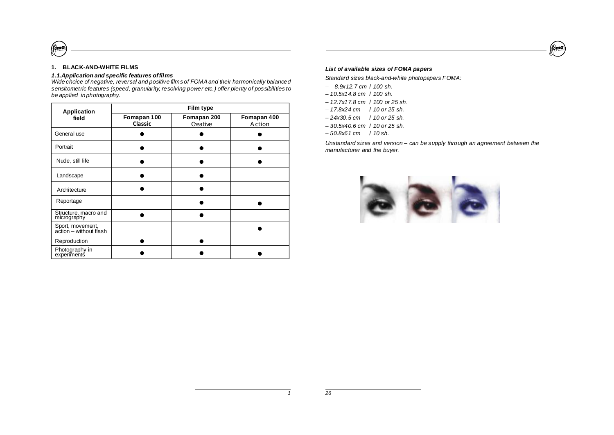

# **1. BLACK-AND-WHITE FILMS**

 $\ell$ <sub>om</sub>o

# *1.1.Application and specific features offilms*

*Wide choice of negative, reversal and positive films of FOMAand their harmonically balanced sensitometric features (speed, granularity, resolving power etc.) offer plenty of possibilities to be applied in photography.*

| <b>Application</b>                         | Film type              |                        |                       |  |  |  |
|--------------------------------------------|------------------------|------------------------|-----------------------|--|--|--|
| field                                      | Fomapan 100<br>Classic | Fomapan 200<br>Geative | Fomapan 400<br>Action |  |  |  |
| General use                                |                        |                        |                       |  |  |  |
| Portrait                                   |                        |                        |                       |  |  |  |
| Nude, still life                           |                        |                        |                       |  |  |  |
| Landscape                                  |                        |                        |                       |  |  |  |
| Architecture                               |                        |                        |                       |  |  |  |
| Reportage                                  |                        |                        |                       |  |  |  |
| Structure, macro and<br>micrography        |                        |                        |                       |  |  |  |
| Sport, movement,<br>action – without flash |                        |                        |                       |  |  |  |
| Reproduction                               |                        |                        |                       |  |  |  |
| Photography in<br>experiments              |                        |                        |                       |  |  |  |

# *List of available sizes of FOMA papers*

*Standard sizes black-and-white photopapers FOMA:*

- *– 8.9x12.7 cm* / *100 sh.*
- *– 10.5x14.8 cm 100 sh.* /
- *– 12.7x17.8 cm 100 or 25 sh.* /
- *– 17.8x24 cm 10 or 25 sh.* /
- *– 24x30.5 cm 10 or 25 sh.* /
- *– 30.5x40.6 cm 10 or 25 sh.* /
- *– 50.8x61 cm 10 sh.* /

*Unstandard sizes and version – can be supply through an agreement between the manufacturer and the buyer.*

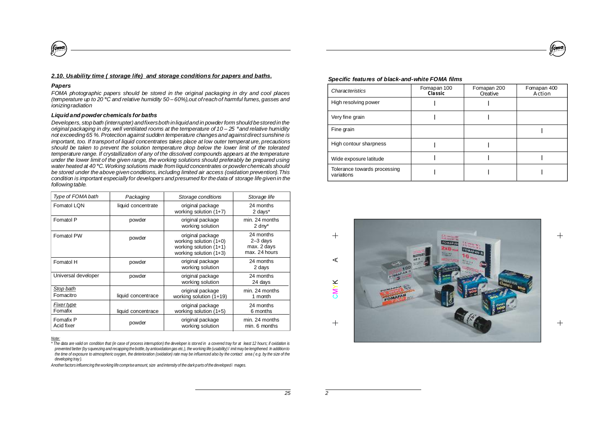# *2.10. Usability time ( storage life) and storage conditions for papers and baths.*

# *Papers*

(forme

*FOMA photographic papers should be stored in the original packaging in dry and cool places (temperature up to 20 C and relative humidity 50 – 60%),out ofreachof harmful fumes, gasses and* **°** *ionizingradiation*

#### *Liquidand powder chemicals for baths*

*Developers, stop bath (interrupter) andfixersboth inliquidand in powder form should bestoredin the* original packaging in dry, well ventilated rooms at the temperature of 10 - 25 ° and relative humidity *not exceeding 65 %.Protection against sudden temperature changesand againstdirect sunshine is important, too. If transport of liquid concentrates takes place at low outer temperat ure, precautions should be taken to prevent the solution temperature drop below the lower limit of the tolerated temperature range. If crystallization of any of the dissolved compounds appears at the temperature under the lower limit of the given range, the working solutions should preferably be prepared using water heated at 40 C. Working solutions made fromliquid concentrates or powderchemicals should* **°** *be stored under the above given conditions, including limited air access (oxidation prevention).This condition is important especially for developers andpresumed for thedata of storage lifegivenin the following table.* 

| Type of FOMA bath<br>Packaging |                    | Storage conditions                                                                                 | Storage life                                            |
|--------------------------------|--------------------|----------------------------------------------------------------------------------------------------|---------------------------------------------------------|
| Fomatol LQN                    | liquid concentrate | original package<br>working solution $(1+7)$                                                       | 24 months<br>2 days*                                    |
| Fomatol P                      | powder             | original package<br>working solution                                                               | min. 24 months<br>$2 \,$ dny $*$                        |
| Fomatol PW                     | powder             | original package<br>working solution $(1+0)$<br>working solution $(1+1)$<br>working solution (1+3) | 24 months<br>$2-3$ days<br>max. 2 days<br>max. 24 hours |
| Fomatol H                      | powder             | original package<br>working solution                                                               | 24 months<br>2 days                                     |
| Universal developer            | powder             | original package<br>working solution                                                               | 24 months<br>24 days                                    |
| Stop bath<br>Fomacitro         | liquid concentrace | original package<br>working solution (1+19)                                                        | min. 24 months<br>1 month                               |
| <b>Fixer type</b><br>Fomafix   | liquid concentrace | original package<br>working solution (1+5)                                                         | 24 months<br>6 months                                   |
| Fomafix P<br>Acid fixer        | powder             | original package<br>working solution                                                               | min. 24 months<br>min. 6 months                         |

*Note:*

\*The data are valid on condition that (in case of process interruption) the developer is stored in a covered trav for at least 12 hours: if oxidation is prevented better (by squeezing and recapping the bottle, by antioxidation gas etc.), the working life (usability) I imit may be lengthened. In addition to the time of exposure to atmospheric oxygen, the deterioration (oxidation) rate may be influenced also by the contact area (e.g. by the size of the *developing tray ).*

Another factors influencing the working life comprise amount, size and intensity of the dark parts of the developed i mages.

# *Specific features of black-and-white FOMA films*

| Characteristics                            | Fomapan 100<br>Classic | Fomapan 200<br>Geative | Fomapan 400<br>Action |
|--------------------------------------------|------------------------|------------------------|-----------------------|
| High resolving power                       |                        |                        |                       |
| Very fine grain                            |                        |                        |                       |
| Fine grain                                 |                        |                        |                       |
| High contour sharpness                     |                        |                        |                       |
| Wide exposure latitude                     |                        |                        |                       |
| Tolerance towards processing<br>variations |                        |                        |                       |



 $\overline{+}$ 

foma

 $+$ 

*25*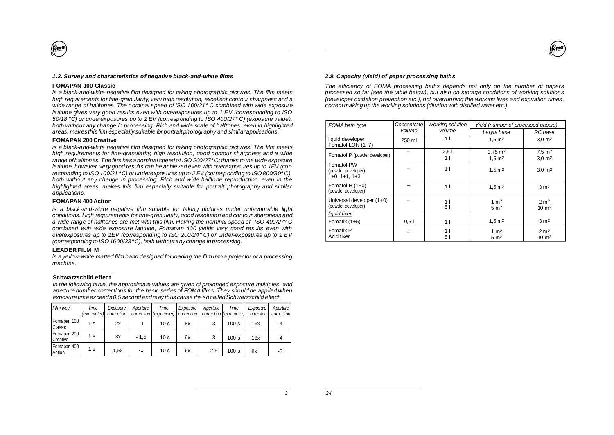# *1.2. Survey and characteristics of negative black-and-white films*

#### **FOMAPAN 100 Classic**

(fomo

*is a black-and-white negative film designed for taking photographic pictures. The film meets high requirements for fine-granularity, very high resolution, excellent contour sharpness and a wide range of halftones. The nominal speed of ISO 100/21 C combined with wide exposure* **°** *latitude gives very good results even with overexposures up to 1 EV (corresponding to ISO 50/18 C) or underexposures up to 2 EV (corresponding to ISO 400/27 C) (exposure value),* **° °** *both without any change in processing. Rich and wide scale of halftones, even in highlighted areas, makes this film especially suitable for portrait photography and similarapplications.*

#### **FOMAPAN 200 Creative**

*is a black-and-white negative film designed for taking photographic pictures. The film meets high requirements for fine-granularity, high resolution, good contour sharpness and a wide range of halftones.The film has a nominal speed of ISO 200/27 C; thanks to the wide exposure* **°** *latitude, however, very good results can be achieved even with overexposures up to 1EV (corresponding to ISO 100/21 C) or underexposures up to 2 EV (corresponding to ISO 800/30 C),* **° °** *both without any change in processing. Rich and wide halftone reproduction, even in the highlighted areas, makes this film especially suitable for portrait photography and similar applications.*

#### **FOMAPAN 400 Action**

*is a black-and-white negative film suitable for taking pictures under unfavourable light conditions. High requirements for fine-granularity, good resolution and contour sharpness and a wide range of halftones are met with this film. Having the nominal speed of ISO 400/27 C* **°** *combined with wide exposure latitude, Fomapan 400 yields very good results even with overexposures up to 1EV (corresponding to ISO 200/24 C) or under-exposures up to 2 EV* **°** *(corresponding to ISO 1600/33 C), both without any change in processing.* **°**

# **LEADERFILM M**

*is a yellow-white matted film band designed for loading the film into a projector or a processing machine.*

# **Schwarzschild effect**

*In the following table, the approximate values are given of prolonged exposure multiples and aperture number corrections for the basic series of FOMA films. They should be applied when exposure time exceeds0.5 second and may thus cause the socalled Schwarzschild effect.*

| Film type                 | Time<br>(exp.meter) | Exposure<br>correction | Aperture | Time<br>correction (exp.meter) | Exposure<br>correction | Aperture | Time<br>correction (exp.meter) | Exposure<br>correction | Aperture<br>correction |
|---------------------------|---------------------|------------------------|----------|--------------------------------|------------------------|----------|--------------------------------|------------------------|------------------------|
| Fomapan 100<br>l Classic  | 1 s                 | 2x                     | - 1      | 10 <sub>s</sub>                | 8x                     | -3       | 100 s                          | 16x                    | $-4$                   |
| Fomapan 200<br>l Creative | 1 s                 | 3x                     | $-1.5$   | 10 <sub>s</sub>                | 9x                     | -3       | 100 s                          | 18x                    | $-4$                   |
| Fomapan 400<br>l Action   | 1 s                 | 1,5x                   | -1       | 10 <sub>s</sub>                | 6x                     | $-2.5$   | 100 s                          | 8x                     | -3                     |



# *2.9. Capacity (yield) of paper processing baths*

*The efficiency of FOMA processing baths depends not only on the number of papers processed so far (see the table below), but also on storage conditions of working solutions (developer oxidation prevention etc.), not overrunning the working lives and expiration times, correctmaking up the working solutions (dilution with distilledwater etc.).*

| FOMA bath type                                      | Concentrate | <b>Working solution</b> | Yield (number of processed papers)        |                                          |  |
|-----------------------------------------------------|-------------|-------------------------|-------------------------------------------|------------------------------------------|--|
|                                                     | volume      | volume                  | baryta base                               | RC base                                  |  |
| liquid developer<br>Fomatol LQN (1+7)               | 250 ml      | 1 <sup>1</sup>          | $1.5 \,\mathrm{m}^2$                      | $3.0 \; \text{m}^2$                      |  |
| Fomatol P (powder developer)                        |             | 2,51<br>1               | $3.75 \text{ m}^2$<br>$1,5 \, \text{m}^2$ | $7.5 \text{ m}^2$<br>$3,0 \, \text{m}^2$ |  |
| Fomatol PW<br>(powder developer)<br>$1+0, 1+1, 1+3$ |             | 1 <sup>1</sup>          | $1,5 \, \text{m}^2$                       | $3.0 \; \text{m}^2$                      |  |
| Fomatol H $(1+0)$<br>(powder developer)             |             | 11                      | $1.5 \,\mathrm{m}^2$                      | 3 <sup>m2</sup>                          |  |
| Universal developer (1+0)<br>(powder developer)     |             | 1  <br>51               | 1 $m2$<br>5 m <sup>2</sup>                | 2 m <sup>2</sup><br>$10 \text{ m}^2$     |  |
| liquid fixer                                        |             |                         |                                           |                                          |  |
| Fomafix $(1+5)$                                     | 0.51        | 1 <sub>1</sub>          | $1,5 \, \text{m}^2$                       | 3 <sup>m2</sup>                          |  |
| Fomafix P<br>Acid fixer                             |             | 11<br>51                | 1 $m2$<br>$5 \text{ m}^2$                 | 2 <sub>m2</sub><br>10 $m2$               |  |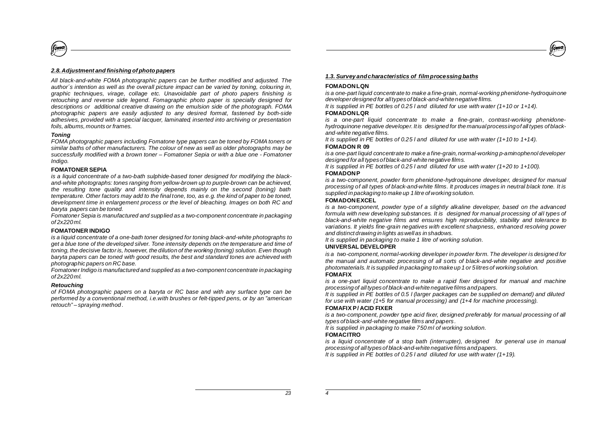# *2.8.Adjustment and finishing ofphotopapers*

*All black-and-white FOMA photographic papers can be further modified and adjusted. The author´s intention as well as the overall picture impact can be varied by toning, colouring in, graphic techniques, virage, collage etc. Unavoidable part of photo papers finishing is retouching and reverse side legend. Fomagraphic photo paper is specially designed for descriptions or additional creative drawing on the emulsion side of the photograph. FOMA photographic papers are easily adjusted to any desired format, fastened by both-side adhesives, provided with a special lacquer, laminated, inserted into archiving or presentation foils, albums, mounts or frames.*

# *Toning*

(foma

*FOMA photographic papers including Fomatone type papers can be toned by FOMA toners or similar baths of other manufacturers. The colour of new as well as older photographs may be successfully modified with a brown toner – Fomatoner Sepia or with a blue one - Fomatoner Indigo.*

#### **FOMATONER SEPIA**

*is a liquid concentrate of a two-bath sulphide-based toner designed for modifying the blackand-white photographs: tones ranging from yellow-brown up to purple-brown can be achieved, the resulting tone quality and intensity depends mainly on the second (toning) bath* temperature. Other factors may add to the final tone, too, as e.g. the kind of paper to be toned, *development time in enlargement process or the level of bleaching. Images on both RC and baryta papers can be toned.*

*Fomatoner Sepia is manufactured and supplied as a two-component concentrate in packaging of 2x220 ml.*

# **FOMATONER INDIGO**

*is a liquid concentrate of a one-bath toner designed for toning black-and-white photographs to get a blue tone of the developed silver. Tone intensity depends on the temperature and time of toning, the decisive factor is, however, the dilution of the working (toning) solution. Even though baryta papers can be toned with good results, the best and standard tones are achieved with photographic papers on RC base.*

*Fomatoner Indigo is manufactured and supplied as a two-component concentrate in packaging of 2x220 ml.*

### *Retouching*

*of FOMA photographic papers on a baryta or RC base and with any surface type can be performed by a conventional method, i.e.with brushes or felt-tipped pens, or by an "american retouch" – spraying method .*

# *1.3. Survey andcharacteristics of filmprocessingbaths*

# **FOMADONLQN**

*is a one-part liquid concentrate to make a fine-grain, normal-working phenidone-hydroquinone developer designed for alltypesof black-and-whitenegative films.*

**FOMADONLQR** *It is supplied in PE bottles of 0.25 l and diluted for use with water (1+10 or 1+14).*

*is a one-part liquid concentrate to make a fine-grain, contrast-working phenidonehydroquinone negative developer. It is designed for the manual processingof all types of blackand-white negative films.*

**FOMADON R 09** *It is supplied in PE bottles of 0.25 l and diluted for use with water (1+10 to 1+14).*

*is a one-part liquid concentrate to make a fine-grain,normal-working p-aminophenol developer designed for all typesof black-and-white negative films.*

**FOMADONP** *It is supplied in PE bottles of 0.25 l and diluted for use with water (1+20 to 1+100).*

*is a two-component, powder form phenidone-hydroquinone developer, designed for manual processing of all types of black-and-white films. It produces images in neutral black tone. It is supplied in packaging to make up 1 litre of working solution.*

#### **FOMADONEXCEL**

*is a two-component, powder type of a slightly alkaline developer, based on the advanced formula with new developing substances. It is designed for manual processing of all types of black-and-white negative films and ensures high reproducibility, stability and tolerance to variations. It yields fine-grain negatives with excellent sharpness, enhanced resolving power and distinct drawing in lights aswell as in shadows.*

*It is supplied in packaging to make 1 litre of working solution.*

# **UNIVERSAL DEVELOPER**

*is a two-component, normal-working developer in powder form. The developer is designed for the manual and automatic processing of all sorts of black-and-white negative and positive photomaterials. It is supplied in packaging to make up 1 or 5litresof working solution.*

#### **FOMAFIX**

*is a one-part liquid concentrate to make a rapid fixer designed for manual and machine processing of all typesof black-and-white negative filmsand papers.*

*It is supplied in PE bottles of 0.5 l (larger packages can be supplied on demand) and diluted for use with water (1+5 for manual processing) and (1+4 for machine processing).*

# **FOMAFIX P/ ACID FIXER**

*is a two-component, powder type acid fixer, designed preferably for manual processing of all types of black-and-white negative films and papers.*

*It is supplied in packaging to make 750 ml of working solution.*

#### **FOMACITRO**

*is a liquid concentrate of a stop bath (interrupter), designed for general use in manual processing of all typesof black-and-white negative filmsand papers.*

*It is supplied in PE bottles of 0.25 l and diluted for use with water (1+19).*

 $\overline{a}$  *z*<sub>3</sub>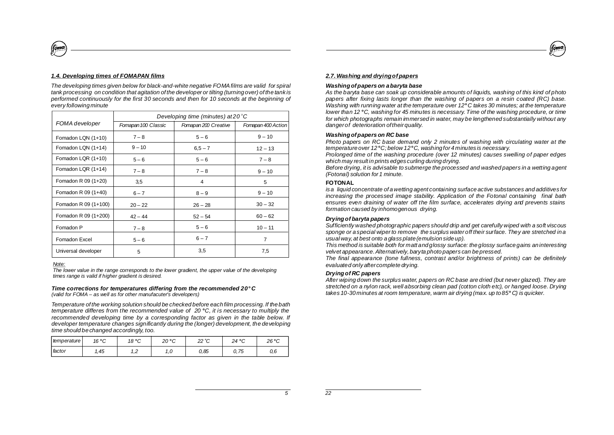# *1.4. Developing times of FOMAPAN films*

*The developing times given below for black-and-white negative FOMAfilms are valid for spiral tank processing on condition that agitation of the developer or tilting (turning over) of the tank is performed continuously for the first 30 seconds and then for 10 seconds at the beginning of every following minute*

|                      | Developing time (minutes) at $20^{\circ}$ C |                      |                    |  |
|----------------------|---------------------------------------------|----------------------|--------------------|--|
| FOMA developer       | Fomapan 100 Classic                         | Fomapan 200 Creative | Fomapan 400 Action |  |
| Fomadon LQN (1+10)   | $7 - 8$                                     | $5 - 6$              | $9 - 10$           |  |
| Fomadon LQN (1+14)   | $9 - 10$                                    | $6,5 - 7$            | $12 - 13$          |  |
| Fomadon LQR (1+10)   | $5 - 6$                                     | $5 - 6$              | $7 - 8$            |  |
| Fomadon LQR (1+14)   | $7 - 8$                                     | $7 - 8$              | $9 - 10$           |  |
| Fomadon R 09 (1+20)  | 3,5                                         | 4                    | 5                  |  |
| Fomadon R 09 (1+40)  | $6 - 7$                                     | $8 - 9$              | $9 - 10$           |  |
| Fomadon R 09 (1+100) | $20 - 22$                                   | $26 - 28$            | $30 - 32$          |  |
| Fomadon R 09 (1+200) | $42 - 44$                                   | $52 - 54$            | $60 - 62$          |  |
| Fomadon P            | $7 - 8$                                     | $5 - 6$              | $10 - 11$          |  |
| Fomadon Excel        | $5 - 6$                                     | $6 - 7$              | $\overline{7}$     |  |
| Universal developer  | 5                                           | 3,5                  | 7,5                |  |

*Note:*

(fóma

*The lower value in the range corresponds to the lower gradient, the upper value of the developing times range is valid if higher gradient is desired.*

#### *Time corrections for temperatures differing from the recommended 20 C***°** *(valid for FOMA – as well as for other manufacuter's developers)*

*Temperature of the working solution should be checked before each film processing. If the bath temperature differes from the recommended value of 20 C, it is necessary to multiply the* **°** *recommended developing time by a corresponding factor as given in the table below. If developer temperature changes significantly during the (longer) development, the developing time should be changed accordingly, too.*

| temperature | 16 °C | 18 °C             | າດ∘∩<br>∠∪<br>ັ | າາ ∘∩<br>∠∠<br>ັ | 24 °C | $26^{\circ}C$ |
|-------------|-------|-------------------|-----------------|------------------|-------|---------------|
| ı factor    | i, 45 | $\sqrt{2}$<br>. . | ں .             | 0.85             | 0,75  | 0,6           |



# *2.7. Washing and dryingofpapers*

# *Washingofpapers on abaryta base*

*As the baryta base can soak up considerable amounts of liquids, washing of this kind of photo papers after fixing lasts longer than the washing of papers on a resin coated (RC) base. Washing with running water at the temperature over 12 C takes 30 minutes; at the temperature* **°** *lower than 12 C, washing for 45 minutes is necessary. Time of the washing procedure, or time* **°** *for which photographs remain immersed in water, may be lengthened substantially without any dangerof deterioration oftheirquality.*

#### *Washingofpapers on RC base*

*Photo papers on RC base demand only 2 minutes of washing with circulating water at the temperature over 12 C; below 12 C, washing for 4 minutes is necessary.* **° °**

*Prolonged time of the washing procedure (over 12 minutes) causes swelling of paper edges which may result in prints edges curling during drying.*

*Before drying, it is advisable to submerge the processed and washed papers in a wetting agent (Fotonal) solution for 1 minute.*

#### **FOTONAL**

*isa liquid concentrate of awetting agent containing surface active substances and additives for increasing the processed image stability. Application of the Fotonal containing final bath ensures even draining of water off the film surface, accelerates drying and prevents stains formation caused by inhomogenous drying.*

#### *Dryingof baryta papers*

*Sufficiently washed photographic papers should drip and get carefully wiped with a soft viscous sponge or a special wiperto remove the surplus water off their surface. They are stretched in a usualway, at best onto a glass plate(emulsion side up).*

*This method is suitable both for matt and glossy surface: the glossy surface gains an interesting velvet appearance.Alternatively, baryta photo papers can be pressed.*

*The final appearance (tone fullness, contrast and/or brightness of prints) can be definitely evaluated only aftercomplete drying.*

#### *Dryingof RC papers*

*After wiping down the surplus water, papers on RC base are dried (but never glazed). They are stretched on a nylon rack, well absorbing clean pad (cotton cloth etc), or hanged loose. Drying takes 10-30 minutes at room temperature, warm air drying (max. up to 85 C) is quicker.* **°**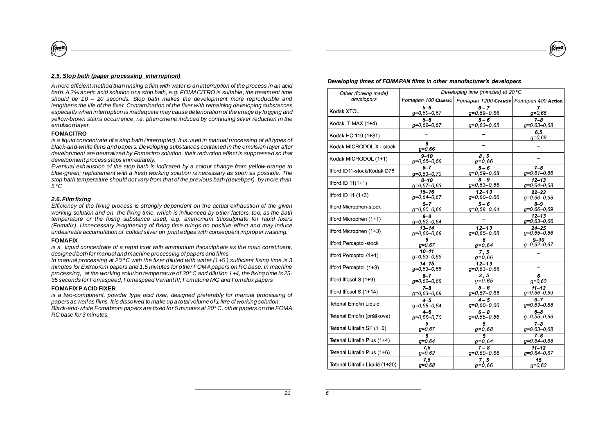# *2.5. Stop bath (paper processing interruption)*

A more efficient method than rinsing a film with water is an interruption of the process in an acid *bath. A 2% acetic acid solution or a stop bath, e.g. FOMACITRO is suitable, the treatment time should be 10 – 20 seconds. Stop bath makes the development more reproducible and lengthens the life of the fixer. Contamination of the fixer with remaining developing substances especially when interruption is inadequate may cause deterioration of the image by fogging and yellow-brown stains occurrence, i.e. phenomena induced by continuing silver reduction in the emulsion layer.*

# **FOMACITRO**

(fóma

is a liquid concentrate of a stop bath (interrupter). It is used in manual processing of all types of *black-and-white films and papers. Developing substances contained in the emulsion layer after development are neutralized by Fomacitro solution, their reduction effect is suppressed so that development process stops immediately.*

*Eventual exhaustion of the stop bath is indicated by a colour change from yellow-orange to blue-green; replacement with a fresh working solution is necessary as soon as possible. The stop bath temperature should not vary from that of the previous bath (developer) by more than 5 C* **°**

# *2.6. Film fixing*

*Efficiency of the fixing process is strongly dependent on the actual exhaustion of the given working solution and on the fixing time, which is influenced by other factors, too, as the bath temperature or the fixing substance used, e.g. ammonium thiosulphate for rapid fixers (Fomafix). Unnecessary lengthening of fixing time brings no positive effect and may induce undesirable accumulation of colloid silver on print edges with consequent improper washing.*

# **FOMAFIX**

*is a liquid concentrate of a rapid fixer with ammonium thiosulphate as the main constituent, designedboth for manual and machine processing of papers and films.*

In manual processing at 20°C with the fixer diluted with water (1+5), sufficient fixing time is 3 *minutes for Extrabrom papers and 1.5 minutes for other FOMApapers on RC base. In machine processing, at the working solution temperature of 30 C and dilution 1+4, the fixing time is 25-* **°** *35 seconds for Fomaspeed,Fomaspeed Variant III, Fomatone MG and Fomalux papers*

# **FOMAFIXPACID FIXER**

*is a two-component, powder type acid fixer, designed preferably for manual processing of* papers as well as films. It is dissolved to make up a total volume of 1 litre of working solution. *Black-and-white Fomabrom papers are fixed for 5 minutes at 20 C, other papers on the FOMA* **°** *RC base for 3 minutes.*

#### Developing times of FOMAPAN films in other manufacturer's developers

foma

| Other (foreing made)           | Developing time (minutes) at 20°C |                                         |                            |  |  |
|--------------------------------|-----------------------------------|-----------------------------------------|----------------------------|--|--|
| developers                     | Fomapan 100 Classic               | Fomapan T200 Creativ Fomapan 400 Action |                            |  |  |
| Kodak XTOL                     | 56<br>$g=0,60-0,67$               | $6 - 7$<br>$q=0,59-0,66$                | $q=0.66$                   |  |  |
| Kodak T-MAX (1+4)              | $5 - 6$                           | $5-6$                                   | $7-8$                      |  |  |
|                                | $g=0.62-0.67$                     | $g=0,63-0,68$                           | $q=0,63-0,68$              |  |  |
| Kodak HC 110 (1+31)            |                                   |                                         | 6.5<br>$q=0.69$            |  |  |
| Kodak MICRODOL X - stock       | 8<br>$q=0.66$                     |                                         |                            |  |  |
| Kodak MICRODOL (1+1)           | $9 - 10$<br>$q=0,65-0,68$         | 8.5<br>$q=0,66$                         |                            |  |  |
| llford ID11-stock/Kodak D76    | 67                                | $5-6$                                   | $7 - 8$                    |  |  |
|                                | $q=0,63-0,70$                     | $q=0,59-0,68$                           | $q=0,61-0,66$              |  |  |
| llford ID $11(1+1)$            | $8 - 10$                          | $\overline{\mathbf{a}-\mathbf{g}}$      | $12 - 13$                  |  |  |
|                                | $q=0,57-0,63$                     | $g=0,63-0,68$                           | $q=0,64-0,68$              |  |  |
| llford ID 11 $(1+3)$           | $15 - 16$                         | $12 - 13$                               | $22 - 23$                  |  |  |
|                                | $g=0,64-0,67$                     | $g=0,60-0,66$                           | $q=0.66-0.68$              |  |  |
| Ilford Microphen-stock         | $5 - 7$                           | $5 - 6$                                 | $8 - 9$                    |  |  |
|                                | $q=0,60-0,66$                     | $g=0,58-0,64$                           | $q=0,66-0,69$              |  |  |
| llford Microphen (1+1)         | $8 - 9$<br>$g=0,62-0,64$          |                                         | $12 - 13$<br>$q=0,63-0,66$ |  |  |
| llford Microphen (1+3)         | $13 - 14$                         | $12 - 13$                               | $24 - 25$                  |  |  |
|                                | $g=0,66-0,68$                     | $q=0,65-0,68$                           | $g=0,65-0,66$              |  |  |
| <b>Ilford Perceptol-stock</b>  | $\overline{s}$                    | $\overline{6}$                          | $9 - 10$                   |  |  |
|                                | $q=0.67$                          | $q=0,64$                                | $g=0,62-0,67$              |  |  |
| llford Perceptol (1+1)         | $10 - 11$<br>$g=0,63-0,66$        | $\overline{7.5}$<br>$g=0,66$            |                            |  |  |
| llford Perceptol (1+3)         | $14 - 15$<br>$g=0,63-0,66$        | $12 - 13$<br>$g=0,63-0,68$              |                            |  |  |
| Ilford Ilfosol S (1+9)         | $6 - 7$                           | 3.5                                     | 6                          |  |  |
|                                | $q=0,62-0,68$                     | $q=0,65$                                | $q=0.63$                   |  |  |
| llford Ilfosol S (1+14)        | $7 - 8$                           | $5-6$                                   | $11 - 12$                  |  |  |
|                                | $g=0,63-0,68$                     | $q=0,57-0,65$                           | $q=0,66-0,69$              |  |  |
| <b>Tetenal Emofin Liquid</b>   | $4-5$                             | $4 - 5$                                 | $6 - 7$                    |  |  |
|                                | $g=0,58-0,64$                     | $g=0,60-0,66$                           | $g=0,63-0,68$              |  |  |
| Tetenal Emofin (prášková)      | $4-6$                             | $6 - 8$                                 | $6 - 8$                    |  |  |
|                                | $q=0,55-0,70$                     | $q=0,55-0,66$                           | $g=0,55-0,66$              |  |  |
| Tetenal Ultrafin SF (1+0)      | 5                                 | 5                                       | $7 - 8$                    |  |  |
|                                | $g=0,67$                          | $g = 0,68$                              | $q=0,63-0,68$              |  |  |
| Tetenal Ultrafin Plus (1+4)    | 5                                 | $\overline{5}$                          | $7 - 8$                    |  |  |
|                                | $q=0,64$                          | $q=0.64$                                | $q=0,64-0,68$              |  |  |
| Tetenal Ultrafin Plus (1+6)    | 7.5                               | $7 - 8$                                 | $11 - 12$                  |  |  |
|                                | $g=0,62$                          | $q=0,60-0,66$                           | $q=0,64-0,67$              |  |  |
| Tetenal Ultrafin Liquid (1+20) | 7.5                               | 7.5                                     | 15                         |  |  |
|                                | $q=0,68$                          | $g=0,66$                                | $q=0.63$                   |  |  |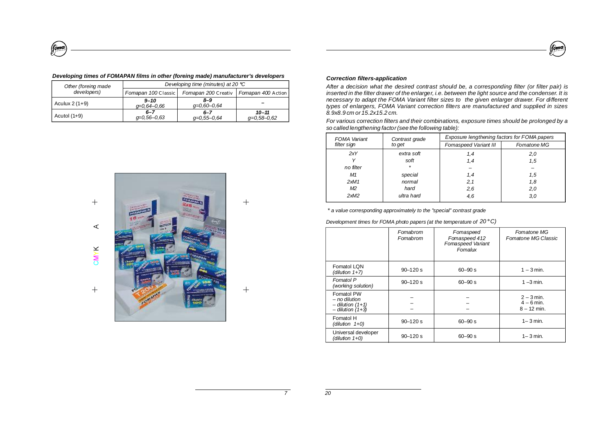| m<br>ľ | 10<br>ı |
|--------|---------|
|        |         |

# *Developing times of FOMAPAN films in other (foreing made) manufacturer's developers*

(foma

| Other (foreing made                          | Developing time (minutes) at 20 °C |                          |                            |  |
|----------------------------------------------|------------------------------------|--------------------------|----------------------------|--|
| developers)                                  | Fomapan 100 Classic                | Fomapan 200 Creativ      | Fomapan 400 Action         |  |
| $9 - 10$<br>Aculux $2(1+9)$<br>$q=0.64-0.66$ |                                    | $8 - 9$<br>$q=0.60-0.64$ |                            |  |
| Acutol $(1+9)$                               | $6 - 7$<br>$q=0.56-0.63$           | $6 - 7$<br>$q=0.55-0.64$ | $10 - 11$<br>$q=0.58-0.62$ |  |



 $+$ 

 $+$ 

# *Correction filters-application*

*After a decision what the desired contrast should be, a corresponding filter (or filter pair) is* inserted in the filter drawer of the enlarger, i.e. between the light source and the condenser. It is *necessary to adapt the FOMA Variant filter sizes to the given enlarger drawer. For different types of enlargers, FOMA Variant correction filters are manufactured and supplied in sizes 8.9x8.9 cm or 15.2x15.2 cm.*

*For various correction filters and their combinations, exposure times should be prolonged by a so called lengthening factor(see the following table):*

| <b>FOMA</b> Variant | Contrast grade | Exposure lengthening factors for FOMA papers |             |  |  |
|---------------------|----------------|----------------------------------------------|-------------|--|--|
| filter sign         | to get         | Fomaspeed Variant III                        | Fomatone MG |  |  |
| 2xY                 | extra soft     | 1,4                                          | 2,0         |  |  |
|                     | soft           | 1,4                                          | 1.5         |  |  |
| no filter           | $\star$        |                                              |             |  |  |
| M1                  | special        | 1,4                                          | 1.5         |  |  |
| 2xM1                | normal         | 2,1                                          | 1,8         |  |  |
| M2                  | hard           | 2,6                                          | 2,0         |  |  |
| 2xM2                | ultra hard     | 4,6                                          | 3,0         |  |  |

*\* a value corresponding approximately to the "special" contrast grade*

*Development times for FOMA photo papers (at the temperature of 20* **°***C)*

|                                                                           | Fomabrom<br>Fomabrom | Fomaspeed<br>Fomaspeed 412<br>Fomaspeed Variant<br>Fomalux | <b>Fomatone MG</b><br>Fomatone MG Classic     |
|---------------------------------------------------------------------------|----------------------|------------------------------------------------------------|-----------------------------------------------|
| Fomatol LON<br>(dilution 1+7)                                             | $90 - 120$ s         | $60 - 90 s$                                                | $1 - 3$ min.                                  |
| Fomatol P<br>(working solution)                                           | $90 - 120s$          | $60 - 90 s$                                                | $1 - 3$ min.                                  |
| Fomatol PW<br>$-$ no dilution<br>$-$ dilution (1+1)<br>$-$ dilution (1+3) |                      |                                                            | $2 - 3$ min.<br>$4 - 6$ min.<br>$8 - 12$ min. |
| Fomatol H<br>(dilution $1+0$ )                                            | $90 - 120s$          | $60 - 90 s$                                                | $1 - 3$ min.                                  |
| Universal developer<br>(dilution 1+0)                                     | $90 - 120$ s         | $60 - 90 s$                                                | $1 - 3$ min.                                  |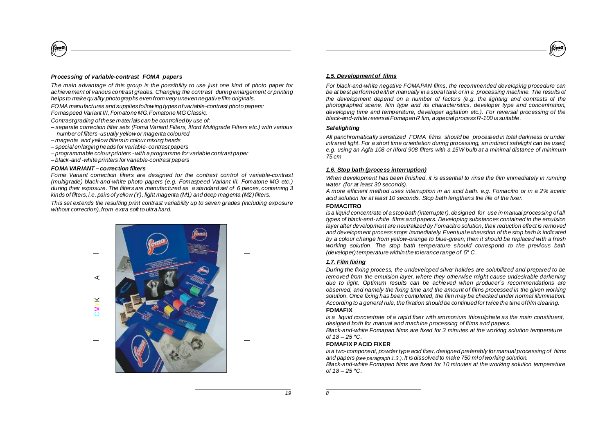# *Processing of variable-contrast FOMA papers*

(fomo

*The main advantage of this group is the possibility to use just one kind of photo paper for achievement of various contrast grades. Changing the contrast during enlargement or printing helps to make quality photographs even from very uneven negativefilm originals.*

*FOMA manufactures and supplies following types of variable-contrast photo papers: Fomaspeed Variant III, Fomatone MG,Fomatone MGClassic.*

*Contrastgrading of these materials can be controlled by use of:*

- *– separate correction filter sets (Foma Variant Filters, Ilford Multigrade Filters etc.) with various number of filters -usually yellowor magenta coloured*
- *– magenta and yellow filters in colour mixing heads*
- *– special enlarging heads for variable- contrast papers*
- *– programmable colourprinters - with a programme for variable contrast paper*
- *– black-and -white printers for variable-contrast papers*

# *FOMA VARIANT – correction filters*

*Foma Variant correction filters are designed for the contrast control of variable-contrast (multigrade) black-and-white photo papers (e.g. Fomaspeed Variant III, Fomatone MG etc.) during their exposure. The filters are manufactured as a standard set of 6 pieces, containing 3 kinds of filters, i.e. pairsof yellow (Y), light magenta (M1) and deep magenta (M2)filters.*

*This set extends the resulting print contrast variability up to seven grades (including exposure without correction), from extra soft to ultra hard.*



 $+$ 

 $^{+}$ 

# *1.5. Developmentof films*

*For black-and-white negative FOMAPAN films, the recommended developing procedure can be at best performed either manually in a spiral tank orin a processing machine. The results of the development depend on a number of factors (e.g. the lighting and contrasts of the photographed scene, film type and its characteristics, developer type and concentration, developing time and temperature, developer agitation etc.). For reversal processing of the black-and-white reversalFomapanR fim, a special processR-100 is suitable.*

foma

# *Safelighting*

*All panchromatically sensitized FOMA films should be processed in total darkness or under infrared light. For a short time orientation during processing, an indirect safelight can be used, e.g. using an Agfa 108 or Ilford 908 filters with a 15W bulb at a minimal distance of minimum 75 cm*

# *1.6. Stop bath (process interruption)*

*When development has been finished, it is essential to rinse the film immediately in running water (for at least 30 seconds).*

*A more efficient method uses interruption in an acid bath, e.g. Fomacitro or in a 2% acetic acid solution for at least 10 seconds. Stop bath lengthens the life of the fixer.*

# **FOMACITRO**

*is a liquid concentrate of a stop bath (interrupter), designed for use in manual processing of all types of black-and-white films and papers. Developing substances contained in the emulsion layer after development are neutralized by Fomacitro solution, their reduction effect is removed and development process stops immediately.Eventual exhaustion of the stop bath is indicated by a colour change from yellow-orange to blue-green; then it should be replaced with a fresh working solution. The stop bath temperature should correspond to the previous bath (developer)temperature within the tolerance range of 5 C.* **°**

# *1.7. Film fixing*

*During the fixing process, the undeveloped silver halides are solubilized and prepared to be removed from the emulsion layer, where they otherwise might cause undesirable darkening due to light. Optimum results can be achieved when producer´s recommendations are observed, and namely the fixing time and the amount of films processed in the given working solution. Once fixing has been completed, the film may be checked under normal illumination. According to a general rule, the fixation should be continuedfortwice the time offilm clearing.*

# **FOMAFIX**

*is a liquid concentrate of a rapid fixer with ammonium thiosulphate as the main constituent, designed both for manual and machine processing of films and papers.*

*Black-and-white Fomapan films are fixed for 3 minutes at the working solution temperature of 18 – 25 C.* **°**

# **FOMAFIX P ACID FIXER**

*is a two-component, powder type acid fixer, designed preferably for manual processing of films and papers . It is dissolved to make 750 mlof working solution. (see paragraph 1.3.) Black-and-white Fomapan films are fixed for 10 minutes at the working solution temperature of 18 – 25 C.* **°**

*19*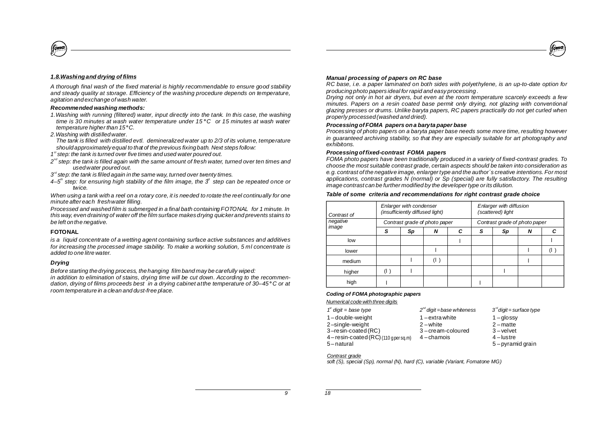# foma

# *1.8.Washingand drying of films*

fomo

*A thorough final wash of the fixed material is highly recommendable to ensure good stability and steady quality at storage. Efficiency of the washing procedure depends on temperature, agitation and exchange of wash water.*

# *Recommended washing methods:*

- *1.Washing with running (filtered) water, input directly into the tank. In this case, the washing time is 30 minutes at wash water temperature under 15 C or 15 minutes at wash water* **°** *temperature higher than 15 C.* **°**
- *2.Washing with distilledwater.*

*The tank is filled with distilled evtl. demineralized water up to 2/3 of its volume, temperature should approximatelyequal to that of the previous fixing bath. Next steps follow:*

- *1 step: the tank is turned over five times and used water poured out. st*
- $2^{nd}$  step: the tank is filled again with the same amount of fresh water, turned over ten times and *usedwater poured out.*
- $3<sup>rd</sup>$  step: the tank is filled again in the same way, turned over twenty times.
- 4–5<sup>th</sup> step: for ensuring high stability of the film image, the  $3<sup>u</sup>$  step can be repeated once or *twice.*

When using a tank with a reel on a rotary core, it is needed to rotate the reel continually for one *minute after each freshwater filling.*

*Processed and washed film is submerged in a final bath containing FOTONAL for 1 minute. In this way, even draining of water off the film surface makesdrying quicker and prevents stains to be left on the negative.*

# **FOTONAL**

*is a liquid concentrate of a wetting agent containing surface active substances and additives for increasing the processed image stability. To make a working solution, 5 ml concentrate is added to one litre water.*

# *Drying*

*Before starting the drying process, the hanging film band may be carefully wiped:*

*in addition to elimination of stains, drying time will be cut down. According to the recommendation, drying of films proceeds best in a drying cabinet atthe temperature of 30–45 C or at* **°** *room temperature in a clean and dust-free place.*

#### *Manual processing of papers on RC base*

*RC base, i.e. a paper laminated on both sides with polyethylene, is an up-to-date option for producing photo papers ideal for rapid and easy processing .*

*Drying not only in hot air dryers, but even at the room temperature scarcely exceeds a few minutes. Papers on a resin coated base permit only drying, not glazing with conventional glazing presses or drums. Unlike baryta papers, RC papers practically do not get curled when properly processed (washed and dried).*

# *ProcessingofFOMA papers ona baryta paper base*

*Processing of photo papers on a baryta paper base needs some more time, resulting however in guaranteed archiving stability, so that they are especially suitable for art photography and exhibitons.*

#### *Processingoffixed-contrast FOMA papers*

*FOMA photo papers have been traditionally produced in a variety of fixed-contrast grades. To choose the most suitable contrast grade, certain aspects should be taken into consideration as e.g. contrast of the negative image, enlargertype and the author´s creative intentions. For most applications, contrast grades N (normal) or Sp (special) are fully satisfactory. The resulting image contrast can be further modified by the developertype orits dilution.*

#### *Table of some criteria and recommendations for right contrast grade choice*

| Contrast of | Enlarger with condenser<br>(insufficiently diffused light) |    |     |   | Enlarger with diffusion<br>(scattered) light |    |   |              |
|-------------|------------------------------------------------------------|----|-----|---|----------------------------------------------|----|---|--------------|
| negative    | Contrast grade of photo paper                              |    |     |   | Contrast grade of photo paper                |    |   |              |
| image       | S                                                          | Sp | N   | C | S                                            | Sp | N | С            |
| low         |                                                            |    |     |   |                                              |    |   |              |
| lower       |                                                            |    |     |   |                                              |    |   | $\mathbf{I}$ |
| medium      |                                                            |    | (1) |   |                                              |    |   |              |
| higher      | (1)                                                        |    |     |   |                                              |    |   |              |
| high        |                                                            |    |     |   |                                              |    |   |              |

#### *Coding of FOMA photographic papers*

*Numerical code with three digits*

 *digit = base type 2 digit =base whiteness 3 digit = surface type st nd rd* – double-weight –single-weight –resin-coated (RC) – resin-coated (RC) (110 gper sq.m) – natural  $2$  – white – chamois

1 – extrawhite 3 – cream-coloured  $1 -$ glossy 2 – matte 3 – velvet 4 – lustre

5 – pyramid grain

#### *Contrast grade*

*soft (S), special (Sp), normal (N), hard (C), variable (Variant, Fomatone MG)*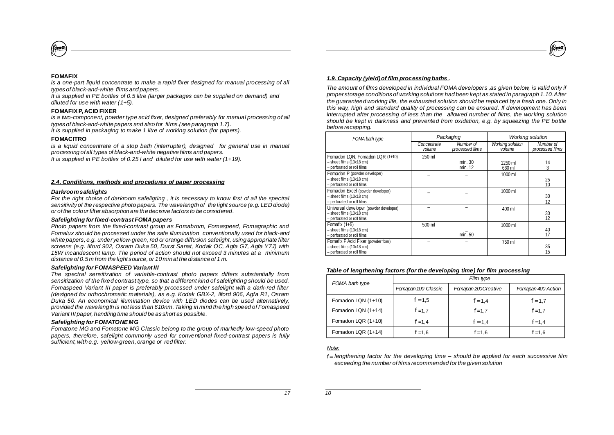Fomadon LQR (1+14)

*Note:*

Fomadon LQN (1+10) Fomadon LQN (1+14) Fomadon LQR (1+10)

*f =*1,4 *f* =1,7 *f =* 1,4 *f* =1,6

#### *FOMA bath type Fomapan100 Classic Fomapan 200Creative Fomapan 400 Action Film type Table of lengthening factors (for the developing time) for film processing*

*f =*1,5

 $f = 1,4$  $f = 1,7$ 

 $f = 1,6$ 

| - perforated or roll films                                                                           |        | min. 12 | 660 ml  |                                         |
|------------------------------------------------------------------------------------------------------|--------|---------|---------|-----------------------------------------|
| Fomadon P (powder developer)                                                                         |        |         | 1000 ml |                                         |
| $-$ sheet films $(13x18$ cm)<br>- perforated or roll films                                           |        |         |         | 25<br>10                                |
| Fomadon Excel (powder developer)<br>$-$ sheet films $(13x18$ cm)<br>- perforated or roll films       |        |         | 1000 ml | 30<br>12                                |
| Universal developer (powder developer)<br>$-$ sheet films $(13x18$ cm)<br>- perforated or roll films |        |         | 400 ml  | $\begin{array}{c} 30 \\ 12 \end{array}$ |
| Fomafix $(1+5)$<br>$-$ sheet films $(13x18$ cm)<br>- perforated or roll films                        | 500 ml | min. 50 | 1000 ml | $^{40}_{17}$                            |
| Fomafix P Acid Fixer (powder fixer)<br>$-$ sheet films $(13x18$ cm)<br>- perforated or roll films    |        |         | 750 ml  | 35<br>15                                |

min. 30

*Number of processed films*

1250 ml

*Working solution volume*

*Packaging Working solution*

# *1.9. Capacity (yield)of film processingbaths .*

*FOMA bath type*

Fomadon LQN, Fomadon LQR (1+10)

– sheet films (13x18 cm)

*The amount of films developed in individual FOMA developers ,as given below, is valid only if proper storage conditionsof working solutions had been kept as stated in paragraph 1.10.After the guaranteed working life, the exhausted solution should be replaced by a fresh one. Only in this way, high and standard quality of processing can be ensured. If development has been interrupted after processing of less than the allowed number of films, the working solution should be kept in darkness and prevented from oxidation, e.g. by squeezing the PE bottle*

*before recapping.*

250 ml

*Concentrate volume*

*is a one-part liquid concentrate to make a rapid fixer designed for manual processing of all types of black-and-white films and papers.*

*It is supplied in PE bottles of 0.5 litre (larger packages can be supplied on demand) and diluted for use with water (1+5).*

# **FOMAFIXP, ACID FIXER**

*is a two-component, powder type acid fixer, designed preferably for manual processing of all types of black-and-white papers and also for films.(see paragraph 1.7).*

*It is supplied in packaging to make 1 litre of working solution (for papers).*

# **FOMACITRO**

*is a liquid concentrate of a stop bath (interrupter), designed for general use in manual processing of all types of black-and-white negative films and papers.*

*It is supplied in PE bottles of 0.25 l and diluted for use with water (1+19).*

# *2.4. Conditions, methods and procedures of paper processing*

# *Darkroomsafelights*

*For the right choice of darkroom safeligting , it is necessary to know first of all the spectral sensitivityof the respective photo papers. The wavelength of the light source (e.g. LED diode) or of the colour filter absorption are the decisive factors to be considered.*

# *Safelighting forfixed-contrast FOMApapers*

*Photo papers from the fixed-contrast group as Fomabrom, Fomaspeed, Fomagraphic and Fomalux should be processed under the safe illumination conventionally used for black-and white papers, e.g. under yellow-green,red or orange diffusion safelight, using appropriate filter screens (e.g. Ilford 902, Osram Duka 50, Durst Sanat, Kodak OC, Agfa G7, Agfa Y7J) with 15W incandescent lamp. The period of action should not exceed 3 minutes at a minimum distance of 0.5 m from the light source, or 10 min at the distance of 1 m.*

# *Safelighting for FOMASPEED VariantIII*

*The spectral sensitization of variable-contrast photo papers differs substantially from sensitization of the fixed contrast type, so that a different kind of safelighting should be used. Fomaspeed Variant III paper is preferably processed under safelight with a dark-red filter (designed for orthochromatic materials), as e.g. Kodak GBX-2, Ilford 906, Agfa R1, Osram Duka 50. An economical illumination device with LED diodes can be used alternatively, provided the wavelength is not less than 610nm. Taking in mind the high speed of Fomaspeed Variant III paper, handling time should be as short as possible.*

# *Safelighting for FOMATONE MG*

*Fomatone MG and Fomatone MG Classic belong to the group of markedly low-speed photo papers, therefore, safelight commonly used for conventional fixed-contrast papers is fully sufficient, with e.g. yellow-green, orange or red filter.*

14

*f =*1,7 *f* =1,7 *f* =1,4 *f* =1,6

*Number of processed films*



**FOMAFIX**

*f = lengthening factor for the developing time – should be applied for each successive film exceeding the number of films recommended forthe given solution*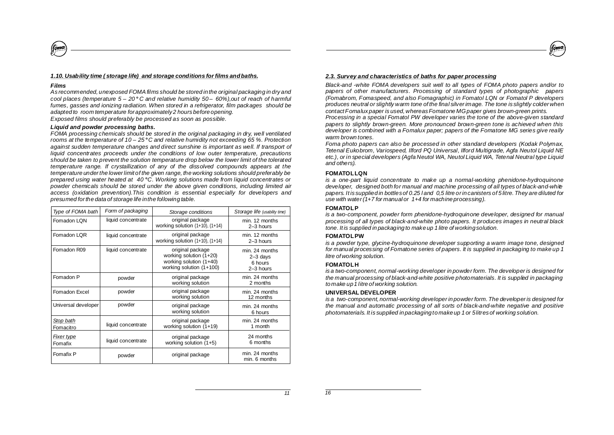# *1.10. Usability time ( storage life) and storage conditions forfilms andbaths.*

#### *Films*

(fomo

*As recommended, unexposed FOMAfilms should be stored in the original packaging in dry and cool places (temperature 5 – 20 C and relative humidity 50 60%),out of reach of harmful* **°** *– fumes, gasses and ionizing radiation. When stored in a refrigerator, film packages should be adapted to room temperature forapproximately2 hours before opening. Exposed films should preferably be processed as soon as possible.*

#### *Liquid and powder processing baths.*

*FOMA processing chemicals should be stored in the original packaging in dry, well ventilated rooms at the temperature of 10 – 25 C and relative humidity not exceeding 65 %. Protection* **°** *against sudden temperature changes and direct sunshine is important as well. If transport of liquid concentrates proceeds under the conditions of low outer temperature, precautions should be taken to prevent the solution temperature drop below the lower limit of the tolerated temperature range. If crystallization of any of the dissolved compounds appears at the temperature underthe lowerlimit of the given range, the working solutions should preferably be prepared using water heated at 40 C. Working solutions made from liquid concentrates or* **°** *powder chemicals should be stored under the above given conditions, including limited air access (oxidation prevention).This condition is essential especially for developers and presumed forthe data of storage life inthe following table.*

| Type of FOMA bath      | Form of packaging  | Storage conditions                                                                                 | Storage life (usability time)                          |
|------------------------|--------------------|----------------------------------------------------------------------------------------------------|--------------------------------------------------------|
| Fomadon LQN            | liquid concentrate | original package<br>working solution $(1+10)$ , $(1+14)$                                           | min. 12 months<br>$2-3$ hours                          |
| Fomadon LQR            | liquid concentrate | original package<br>working solution $(1+10)$ , $(1+14)$                                           | min. 12 months<br>2-3 hours                            |
| Fomadon R09            | liquid concentrate | original package<br>working solution (1+20)<br>working solution (1+40)<br>working solution (1+100) | min. 24 months<br>$2 - 3$ days<br>6 hours<br>2-3 hours |
| Fomadon P              | powder             | original package<br>working solution                                                               | min. 24 months<br>2 months                             |
| Fomadon Excel          | powder             | original package<br>working solution                                                               | min. 24 months<br>12 months                            |
| Universal developer    | powder             | original package<br>working solution                                                               | min. 24 months<br>6 hours                              |
| Stop bath<br>Fomacitro | liquid concentrate | original package<br>working solution (1+19)                                                        | min. 24 months<br>1 month                              |
| Fixer type<br>Fomafix  | liquid concentrate | original package<br>working solution (1+5)                                                         | 24 months<br>6 months                                  |
| Fomafix P              | powder             | original package                                                                                   | min. 24 months<br>min. 6 months                        |

# *2.3. Survey and characteristics of baths for paper processing*

*Black-and -white FOMA developers suit well to all types of FOMA photo papers and/or to papers of other manufacturers. Processing of standard types of photographic papers (Fomabrom, Fomaspeed, and also Fomagraphic) in Fomatol LQN or Fomatol P developers produces neutral or slightly warm tone of the final silverimage. The tone is slightly colder when contactFomaluxpaper is used, whereasFomatone MGpaper gives brown-green prints.*

foma

*Processing in a special Fomatol PW developer varies the tone of the above-given standard papers to slightly brown-green. More pronounced brown-green tone is achieved when this developer is combined with a Fomalux paper; papers of the Fomatone MG series give really warm brown tones.*

*Foma photo papers can also be processed in other standard developers (Kodak Polymax, Tetenal Eukobrom, Variospeed, Ilford PQ Universal, Ilford Multigrade, Agfa Neutol Liquid NE etc.), or in special developers (Agfa Neutol WA, Neutol Liquid WA, Tetenal Neutral type Liquid and others).*

# **FOMATOLLQN**

*is a one-part liquid concentrate to make up a normal-working phenidone-hydroquinone developer, designed both for manual and machine processing of all types of black-and-white* papers. It is supplied in bottles of 0.25 l and 0.5 litre or in canisters of 5 litre. They are diluted for *use with water(1+7 for manual or 1+4 for machine processing).*

# **FOMATOLP**

*is a two-component, powder form phenidone-hydroquinone developer, designed for manual processing of all types of black-and-white photo papers. It produces images in neutral black tone. It is supplied in packaging to make up 1 litre of workingsolution.*

# **FOMATOLPW**

*is a powder type, glycine-hydroquinone developer supporting a warm image tone, designed for manual processing of Fomatone series of papers. It is supplied in packaging to make up 1 litre of working solution.*

# **FOMATOLH**

*is a two-component, normal-working developer in powder form. The developer is designed for the manual processing of black-and-white positive photomaterials. It is supplied in packaging to make up1 litre of working solution.*

# **UNIVERSAL DEVELOPER**

*is a two-component, normal-working developer in powder form.The developeris designed for the manual and automatic processing of all sorts of black-and-white negative and positive photomaterials. It is supplied in packaging to make up 1 or 5litresof working solution.*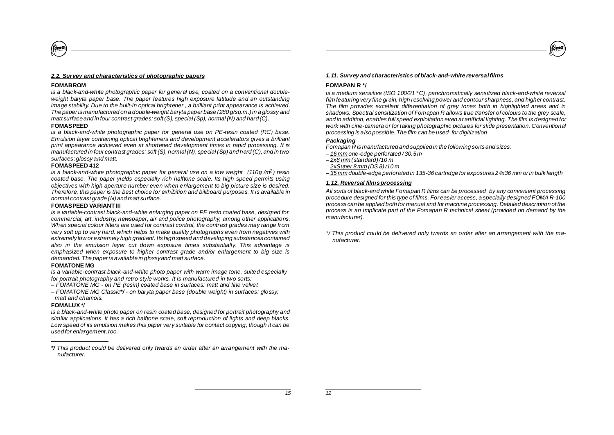# *2.2. Survey and characteristics of photographic papers*

#### **FOMABROM**

fom:

*is a black-and-white photographic paper for general use, coated on a conventional doubleweight baryta paper base. The paper features high exposure latitude and an outstanding image stability. Due to the built-in optical brightener,a brilliant print appearance is achieved. The paper is manufactured on a double-weight baryta paper base (280 g/sq.m.)in a glossy and matt surface and in four contrast grades: soft (S), special (Sp), normal (N) and hard (C).*

#### **FOMASPEED**

*is a black-and-white photographic paper for general use on PE-resin coated (RC) base. Emulsion layer containing optical brighteners and development accelerators gives a brilliant print appearance achieved even at shortened development times in rapid processing. It is manufactured in four contrast grades: soft (S), normal (N), special (Sp) and hard (C), and in two surfaces:glossy and matt.*

# **FOMASPEED 412**

*is a black-and-white photographic paper for general use on a low weight (110g/m<sup>2</sup>) resin coated base. The paper yields especially rich halftone scale. Its high speed permits using objectives with high aperture number even when enlargement to big picture size is desired. Therefore, this paper is the best choice for exhibition and billboard purposes. It is available in normal contrast grade (N) and matt surface.*

# **FOMASPEED VARIANTIII**

*is a variable-contrast black-and-white enlarging paper on PE resin coated base, designed for commercial, art, industry, newspaper, air and police photography, among other applications. When special colour filters are used for contrast control, the contrast grades may range from very soft up to very hard, which helps to make quality photographs even from negatives with extremely low or extremely high gradient. Its high speed and developing substances contained also in the emulsion layer cut down exposure times substantially. This advantage is emphasized when exposure to higher contrast grade and/or enlargement to big size is demanded. The paperisavailable in glossyand matt surface.*

# **FOMATONE MG**

*is a variable-contrast black-and-white photo paper with warm image tone, suited especially for portrait photography and retro-style works. It is manufactured in two sorts:*

*– FOMATONE MG - on PE (resin) coated base in surfaces: matt and fine velvet*

*– FOMATONE MG Classic - on baryta paper base (double weight) in surfaces: glossy, \*/ matt and chamois.*

# **FOMALUX \*/**

*is a black-and-white photo paper on resin coated base, designed for portrait photography and similar applications. It has a rich halftone scale, soft reproduction of lights and deep blacks. Low speed of its emulsion makes this paper very suitable for contact copying, though it can be used for enlargement, too.*



# **FOMAPAN R \*/**

*is a medium sensitive (ISO 100/21* **°***C), panchromatically sensitized black-and-white reversal film featuring very fine grain, high resolving power and contour sharpness, and higher contrast. The film provides excellent differentiation of grey tones both in highlighted areas and in shadows. Spectral sensitization of Fomapan R allows true transfer of colours to the grey scale, and in addition, enables full speed exploitation even at artificial lighting. The film is designed for work with cine-camera or for taking photographic pictures for slide presentation. Conventional processing is also possible.The film can be used for digitization*

# *Packaging*

*Fomapan R is manufactured and supplied in the following sorts and sizes:*

- *one-edge perforated / 30.5 m – 16 mm*
- *(standard)/10 m – 2x8 mm*
- *– (DS 8) /10 m 2xSuper 8 mm*
- *– double-edge perforated in 135-36 cartridge for exposures 24x36 mm orin bulk length 35 mm*

# *1.12. Reversal filmsprocessing*

*All sorts of black-and white Fomapan R films can be processed by any convenient processing procedure designed for this type of films. For easier access, a specially designed FOMA R-100 process can be applied both for manual and for machine processing. Detailed description of the process is an implicate part of the Fomapan R technical sheet (provided on demand by the manufacturer).*

*This product could be delivered only twards an order after an arrangement with the ma-\*/nufacturer.*

*<sup>\*/</sup> This product could be delivered only twards an order after an arrangement with the manufacturer.*